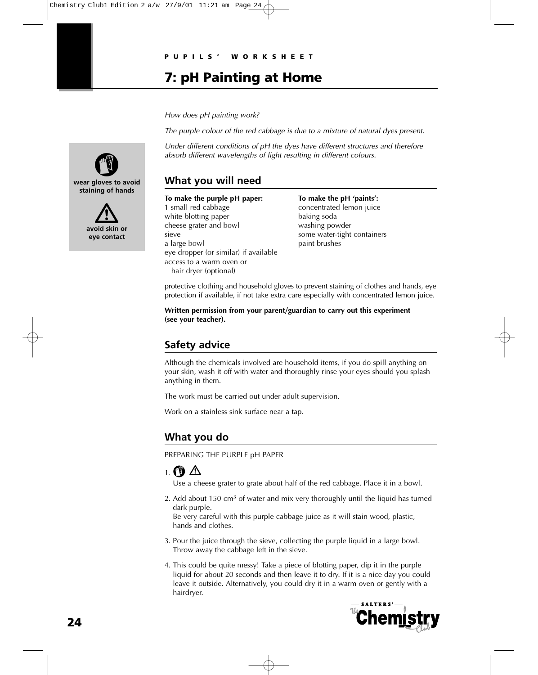# **7: pH Painting at Home**

How does pH painting work?

The purple colour of the red cabbage is due to a mixture of natural dyes present.

Under different conditions of pH the dyes have different structures and therefore absorb different wavelengths of light resulting in different colours.

### **What you will need**

**To make the purple pH paper: To make the pH 'paints':** 1 small red cabbage concentrated lemon juice white blotting paper baking soda cheese grater and bowl washing powder sieve some water-tight containers a large bowl paint brushes eye dropper (or similar) if available access to a warm oven or hair dryer (optional)

protective clothing and household gloves to prevent staining of clothes and hands, eye protection if available, if not take extra care especially with concentrated lemon juice.

**Written permission from your parent/guardian to carry out this experiment (see your teacher).**

# **Safety advice**

Although the chemicals involved are household items, if you do spill anything on your skin, wash it off with water and thoroughly rinse your eyes should you splash anything in them.

The work must be carried out under adult supervision.

Work on a stainless sink surface near a tap.

#### **What you do**

PREPARING THE PURPLE pH PAPER

# $_1$  (V)  $\triangle$

Use a cheese grater to grate about half of the red cabbage. Place it in a bowl.

2. Add about 150 cm<sup>3</sup> of water and mix very thoroughly until the liquid has turned dark purple.

Be very careful with this purple cabbage juice as it will stain wood, plastic, hands and clothes.

- 3. Pour the juice through the sieve, collecting the purple liquid in a large bowl. Throw away the cabbage left in the sieve.
- 4. This could be quite messy! Take a piece of blotting paper, dip it in the purple liquid for about 20 seconds and then leave it to dry. If it is a nice day you could leave it outside. Alternatively, you could dry it in a warm oven or gently with a hairdryer.